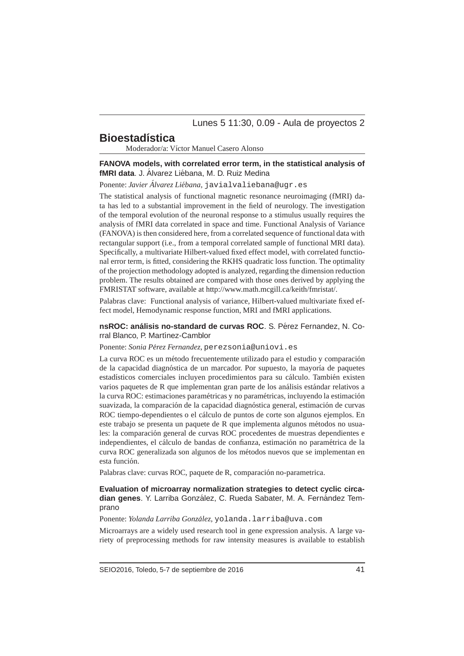Lunes 5 11:30, 0.09 - Aula de proyectos 2

# **Bioestadística**

Moderador/a: Víctor Manuel Casero Alonso

### **FANOVA models, with correlated error term, in the statistical analysis of fMRI data.** J. Álvarez Liébana, M. D. Ruiz Medina

Ponente: *Javier Alvarez Li ´ ebana ´* , javialvaliebana@ugr.es

The statistical analysis of functional magnetic resonance neuroimaging (fMRI) data has led to a substantial improvement in the field of neurology. The investigation of the temporal evolution of the neuronal response to a stimulus usually requires the analysis of fMRI data correlated in space and time. Functional Analysis of Variance (FANOVA) is then considered here, from a correlated sequence of functional data with rectangular support (i.e., from a temporal correlated sample of functional MRI data). Specifically, a multivariate Hilbert-valued fixed effect model, with correlated functional error term, is fitted, considering the RKHS quadratic loss function. The optimality of the projection methodology adopted is analyzed, regarding the dimension reduction problem. The results obtained are compared with those ones derived by applying the FMRISTAT software, available at http://www.math.mcgill.ca/keith/fmristat/.

Palabras clave: Functional analysis of variance, Hilbert-valued multivariate fixed effect model, Hemodynamic response function, MRI and fMRI applications.

### **nsROC: análisis no-standard de curvas ROC. S. Pérez Fernandez, N. Co**rral Blanco, P. Martínez-Camblor

Ponente: *Sonia Pérez Fernandez*, perezsonia@uniovi.es

La curva ROC es un método frecuentemente utilizado para el estudio y comparación de la capacidad diagnóstica de un marcador. Por supuesto, la mayoría de paquetes estadísticos comerciales incluyen procedimientos para su cálculo. También existen varios paquetes de R que implementan gran parte de los análisis estándar relativos a la curva ROC: estimaciones paramétricas y no paramétricas, incluyendo la estimación suavizada, la comparación de la capacidad diagnóstica general, estimación de curvas ROC tiempo-dependientes o el cálculo de puntos de corte son algunos ejemplos. En este trabajo se presenta un paquete de R que implementa algunos métodos no usuales: la comparación general de curvas ROC procedentes de muestras dependientes e independientes, el cálculo de bandas de confianza, estimación no paramétrica de la curva ROC generalizada son algunos de los m´etodos nuevos que se implementan en esta función.

Palabras clave: curvas ROC, paquete de R, comparación no-parametrica.

## **Evaluation of microarray normalization strategies to detect cyclic circa**dian genes. Y. Larriba González, C. Rueda Sabater, M. A. Fernández Temprano

Ponente: *Yolanda Larriba González*, yolanda.larriba@uva.com

Microarrays are a widely used research tool in gene expression analysis. A large variety of preprocessing methods for raw intensity measures is available to establish